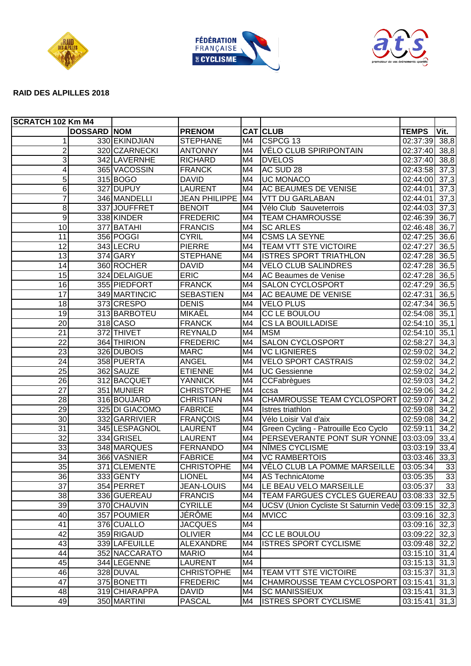





## **RAID DES ALPILLES 2018**

| <b>SCRATCH 102 Km M4</b> |                    |                |                      |    |                                                |                            |                   |
|--------------------------|--------------------|----------------|----------------------|----|------------------------------------------------|----------------------------|-------------------|
|                          | <b>DOSSARD NOM</b> |                | <b>PRENOM</b>        |    | <b>CAT CLUB</b>                                | <b>TEMPS</b>               | Vit.              |
| 1                        |                    | 330 EKINDJIAN  | <b>STEPHANE</b>      | M4 | CSPCG <sub>13</sub>                            | 02:37:39                   | 38,8              |
| $\overline{2}$           |                    | 320 CZARNECKI  | <b>ANTONNY</b>       | M4 | <b>VÉLO CLUB SPIRIPONTAIN</b>                  | 02:37:40                   | 38,8              |
| 3                        |                    | 342 LAVERNHE   | <b>RICHARD</b>       | M4 | <b>DVELOS</b>                                  | 02:37:40                   | 38,8              |
| 4                        |                    | 365 VACOSSIN   | <b>FRANCK</b>        | M4 | AC SUD 28                                      | 02:43:58                   | 37,3              |
| 5                        |                    | 315 BOGO       | <b>DAVID</b>         | M4 | <b>UC MONACO</b>                               | 02:44:00                   | $\overline{37,3}$ |
| $\overline{6}$           |                    | 327 DUPUY      | <b>LAURENT</b>       | M4 | <b>AC BEAUMES DE VENISE</b>                    | 02:44:01                   | 37,3              |
| 7                        |                    | 346 MANDELLI   | <b>JEAN PHILIPPE</b> | M4 | <b>VTT DU GARLABAN</b>                         | 02:44:01                   | 37,3              |
| 8                        |                    | 337JJOUFFRET   | <b>BENOIT</b>        | M4 | Vélo Club Sauveterrois                         | 02:44:03                   | 37,3              |
| $\overline{9}$           |                    | 338 KINDER     | <b>FREDERIC</b>      | M4 | <b>TEAM CHAMROUSSE</b>                         | 02:46:39                   | 36,7              |
| 10                       |                    | 377 BATAHI     | <b>FRANCIS</b>       | M4 | <b>SC ARLES</b>                                | 02:46:48                   | 36,7              |
| $\overline{11}$          |                    | 356 POGGI      | <b>CYRIL</b>         | M4 | <b>CSMS LA SEYNE</b>                           | 02:47:25                   | 36,6              |
| $\overline{12}$          |                    | 343 LECRU      | <b>PIERRE</b>        | M4 | TEAM VTT STE VICTOIRE                          | 02:47:27                   | 36,5              |
| 13                       |                    | 374 GARY       | <b>STEPHANE</b>      | M4 | <b>ISTRES SPORT TRIATHLON</b>                  | 02:47:28                   | 36,5              |
| $\overline{14}$          |                    | 360 ROCHER     | <b>DAVID</b>         | M4 | <b>VELO CLUB SALINDRES</b>                     | 02:47:28                   | 36,5              |
| 15                       |                    | 324 DELAIGUE   | <b>ERIC</b>          | M4 | AC Beaumes de Venise                           | 02:47:28                   | 36,5              |
| 16                       |                    | 355 PIEDFORT   | <b>FRANCK</b>        | M4 | <b>SALON CYCLOSPORT</b>                        | 02:47:29                   | 36,5              |
| 17                       |                    | 349 MARTINCIC  | <b>SEBASTIEN</b>     | M4 | <b>AC BEAUME DE VENISE</b>                     | 02:47:31                   | 36,5              |
| 18                       |                    | 373 CRESPO     | <b>DENIS</b>         | M4 | <b>VELO PLUS</b>                               | 02:47:34                   | 36,5              |
| 19                       |                    | 313 BARBOTEU   | MIKAËL               | M4 | <b>CC LE BOULOU</b>                            | 02:54:08                   | 35,1              |
| $\overline{20}$          |                    | 318 CASO       | <b>FRANCK</b>        | M4 | <b>CS LA BOUILLADISE</b>                       | 02:54:10                   | 35,1              |
| $\overline{21}$          |                    | 372 THIVET     | <b>REYNALD</b>       | M4 | <b>MSM</b>                                     | 02:54:10                   | 35,1              |
| $\overline{22}$          |                    | 364 THIRION    | <b>FREDERIC</b>      | M4 | <b>SALON CYCLOSPORT</b>                        | 02:58:27                   | 34,3              |
| $\overline{23}$          |                    | 326 DUBOIS     | <b>MARC</b>          | M4 | <b>VC LIGNIERES</b>                            | 02:59:02                   | 34,2              |
| 24                       |                    | 358 PUERTA     | <b>ANGEL</b>         | M4 | <b>VELO SPORT CASTRAIS</b>                     | 02:59:02                   | 34,2              |
| 25                       |                    | 362 SAUZE      | <b>ETIENNE</b>       | M4 | <b>UC Gessienne</b>                            | 02:59:02                   | 34,2              |
| 26                       |                    | 312 BACQUET    | <b>YANNICK</b>       | M4 | CCFabrègues                                    | 02:59:03                   | 34,2              |
| 27                       |                    | 351 MUNIER     | <b>CHRISTOPHE</b>    | M4 | ccsa                                           | 02:59:06                   | 34,2              |
| 28                       |                    | 316 BOUJARD    | <b>CHRISTIAN</b>     | M4 | <b>CHAMROUSSE TEAM CYCLOSPORT</b>              | 02:59:07                   | 34,2              |
| $\overline{29}$          |                    | 325 DI GIACOMO | <b>FABRICE</b>       | M4 | <b>Istres triathlon</b>                        | 02:59:08                   | 34,2              |
| 30                       |                    | 332 GARRIVIER  | <b>FRANÇOIS</b>      | M4 | Vélo Loisir Val d'aix                          | 02:59:08                   | 34,2              |
| 31                       |                    | 345 LESPAGNOL  | LAURENT              | M4 | Green Cycling - Patrouille Eco Cyclo           | 02:59:11                   | 34,2              |
| $\overline{32}$          |                    | 334 GRISEL     | <b>LAURENT</b>       | M4 | PERSEVERANTE PONT SUR YONNE                    | $\overline{03:03:09}$      | 33,4              |
| 33                       |                    | 348 MARQUES    | <b>FERNANDO</b>      | M4 | NÎMES CYCLISME                                 | 03:03:19                   | 33,4              |
| 34                       |                    | 366 VASNIER    | <b>FABRICE</b>       | M4 | <b>VC RAMBERTOIS</b>                           | $\overline{03:03:46}$ 33,3 |                   |
| $\overline{35}$          |                    | 371 CLEMENTE   | <b>CHRISTOPHE</b>    | M4 | VÉLO CLUB LA POMME MARSEILLE                   | 03:05:34                   | 33                |
| 36                       |                    | 333 GENTY      | <b>LIONEL</b>        |    | M4   AS TechnicAtome                           | 03:05:35                   | 33                |
| 37                       |                    | 354 PERRET     | JEAN-LOUIS           | M4 | LE BEAU VELO MARSEILLE                         | 03:05:37                   | 33                |
| 38                       |                    | 336 GUEREAU    | <b>FRANCIS</b>       | M4 | <b>TEAM FARGUES CYCLES GUEREAU</b>             | 03:08:33                   | 32,5              |
| 39                       |                    | 370 CHAUVIN    | <b>CYRILLE</b>       | M4 | UCSV (Union Cycliste St Saturnin Vedè 03:09:15 |                            | 32,3              |
| 40                       |                    | 357 POUMIER    | JÉRÔME               | M4 | <b>MVICC</b>                                   | 03:09:16 32,3              |                   |
| 41                       |                    | 376 CUALLO     | <b>JACQUES</b>       | M4 |                                                | $\overline{03:09:16}$ 32,3 |                   |
| 42                       |                    | 359 RIGAUD     | <b>OLIVIER</b>       | M4 | CC LE BOULOU                                   | 03:09:22 32,3              |                   |
| 43                       |                    | 339 LAFEUILLE  | <b>ALEXANDRE</b>     | M4 | <b>ISTRES SPORT CYCLISME</b>                   | 03:09:48 32,2              |                   |
| 44                       |                    | 352 NACCARATO  | <b>MARIO</b>         | M4 |                                                | 03:15:10 31,4              |                   |
| 45                       |                    | 344 LEGENNE    | <b>LAURENT</b>       | M4 |                                                | 03:15:13 31,3              |                   |
| 46                       |                    | 328 DUVAL      | <b>CHRISTOPHE</b>    | M4 | TEAM VTT STE VICTOIRE                          | 03:15:37 31,3              |                   |
| $\overline{47}$          |                    | 375 BONETTI    | <b>FREDERIC</b>      | M4 | CHAMROUSSE TEAM CYCLOSPORT                     | 03:15:41                   | 31,3              |
| 48                       |                    | 319 CHIARAPPA  | <b>DAVID</b>         | M4 | <b>SC MANISSIEUX</b>                           | 03:15:41                   | 31,3              |
| 49                       |                    | 350 MARTINI    | <b>PASCAL</b>        | M4 | <b>ISTRES SPORT CYCLISME</b>                   | 03:15:41                   | 31,3              |